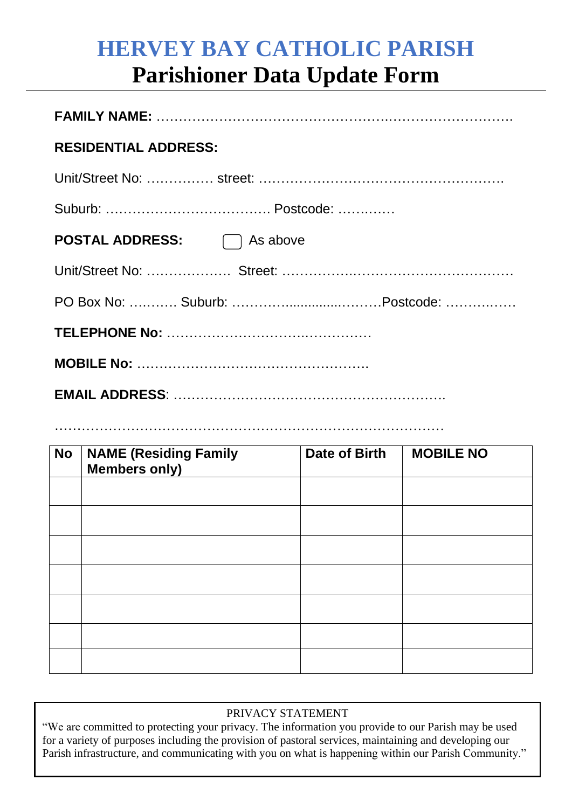## **HERVEY BAY CATHOLIC PARISH Parishioner Data Update Form**

| <b>RESIDENTIAL ADDRESS:</b>       |  |  |  |  |
|-----------------------------------|--|--|--|--|
|                                   |  |  |  |  |
|                                   |  |  |  |  |
| <b>POSTAL ADDRESS:</b> □ As above |  |  |  |  |
|                                   |  |  |  |  |
|                                   |  |  |  |  |
|                                   |  |  |  |  |
|                                   |  |  |  |  |
|                                   |  |  |  |  |

……………………………………………………………………………

| <b>No</b> | <b>NAME (Residing Family</b><br>Members only) | <b>Date of Birth</b> | <b>MOBILE NO</b> |
|-----------|-----------------------------------------------|----------------------|------------------|
|           |                                               |                      |                  |
|           |                                               |                      |                  |
|           |                                               |                      |                  |
|           |                                               |                      |                  |
|           |                                               |                      |                  |
|           |                                               |                      |                  |
|           |                                               |                      |                  |

## PRIVACY STATEMENT

"We are committed to protecting your privacy. The information you provide to our Parish may be used<br>for a variety of purposes including the provision of pastoral services, maintaining and developing our  Parish infrastructure, and communicating with you on what is happening within our Parish Community."for a variety of purposes including the provision of pastoral services, maintaining and developing our